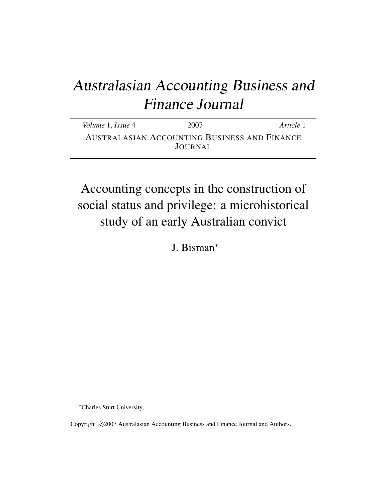# Australasian Accounting Business and Finance Journal

*Volume* 1, *Issue* 4 2007 *Article* 1 AUSTRALASIAN ACCOUNTING BUSINESS AND FINANCE JOURNAL

Accounting concepts in the construction of social status and privilege: a microhistorical study of an early Australian convict

J. Bisman<sup>∗</sup>

<sup>∗</sup>Charles Sturt University,

Copyright ©2007 Australasian Accounting Business and Finance Journal and Authors.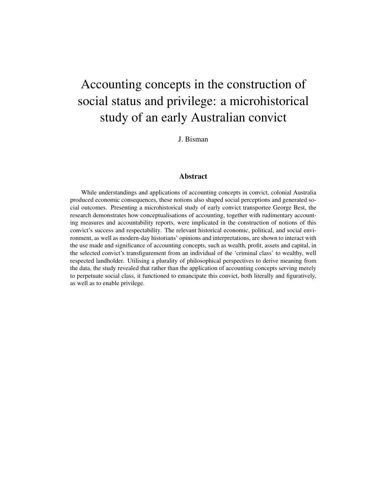## Accounting concepts in the construction of social status and privilege: a microhistorical study of an early Australian convict

J. Bisman

#### Abstract

While understandings and applications of accounting concepts in convict, colonial Australia produced economic consequences, these notions also shaped social perceptions and generated social outcomes. Presenting a microhistorical study of early convict transportee George Best, the research demonstrates how conceptualisations of accounting, together with rudimentary accounting measures and accountability reports, were implicated in the construction of notions of this convict's success and respectability. The relevant historical economic, political, and social environment, as well as modern-day historians' opinions and interpretations, are shown to interact with the use made and significance of accounting concepts, such as wealth, profit, assets and capital, in the selected convict's transfigurement from an individual of the 'criminal class' to wealthy, well respected landholder. Utilising a plurality of philosophical perspectives to derive meaning from the data, the study revealed that rather than the application of accounting concepts serving merely to perpetuate social class, it functioned to emancipate this convict, both literally and figuratively, as well as to enable privilege.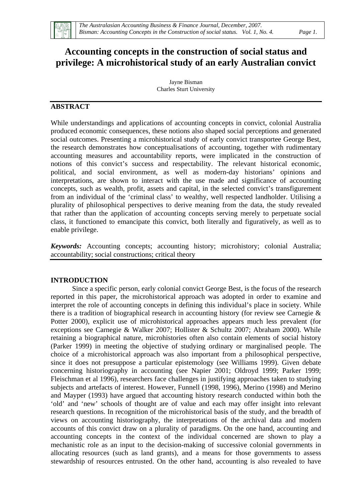

### **Accounting concepts in the construction of social status and privilege: A microhistorical study of an early Australian convict**

Jayne Bisman Charles Sturt University

#### **ABSTRACT**

While understandings and applications of accounting concepts in convict, colonial Australia produced economic consequences, these notions also shaped social perceptions and generated social outcomes. Presenting a microhistorical study of early convict transportee George Best, the research demonstrates how conceptualisations of accounting, together with rudimentary accounting measures and accountability reports, were implicated in the construction of notions of this convict's success and respectability. The relevant historical economic, political, and social environment, as well as modern-day historians' opinions and interpretations, are shown to interact with the use made and significance of accounting concepts, such as wealth, profit, assets and capital, in the selected convict's transfigurement from an individual of the 'criminal class' to wealthy, well respected landholder. Utilising a plurality of philosophical perspectives to derive meaning from the data, the study revealed that rather than the application of accounting concepts serving merely to perpetuate social class, it functioned to emancipate this convict, both literally and figuratively, as well as to enable privilege.

*Keywords:* Accounting concepts; accounting history; microhistory; colonial Australia; accountability; social constructions; critical theory

#### **INTRODUCTION**

Since a specific person, early colonial convict George Best, is the focus of the research reported in this paper, the microhistorical approach was adopted in order to examine and interpret the role of accounting concepts in defining this individual's place in society. While there is a tradition of biographical research in accounting history (for review see Carnegie  $\&$ Potter 2000), explicit use of microhistorical approaches appears much less prevalent (for exceptions see Carnegie & Walker 2007; Hollister & Schultz 2007; Abraham 2000). While retaining a biographical nature, microhistories often also contain elements of social history (Parker 1999) in meeting the objective of studying ordinary or marginalised people. The choice of a microhistorical approach was also important from a philosophical perspective, since it does not presuppose a particular epistemology (see Williams 1999). Given debate concerning historiography in accounting (see Napier 2001; Oldroyd 1999; Parker 1999; Fleischman et al 1996), researchers face challenges in justifying approaches taken to studying subjects and artefacts of interest. However, Funnell (1998, 1996), Merino (1998) and Merino and Mayper (1993) have argued that accounting history research conducted within both the 'old' and 'new' schools of thought are of value and each may offer insight into relevant research questions. In recognition of the microhistorical basis of the study, and the breadth of views on accounting historiography, the interpretations of the archival data and modern accounts of this convict draw on a plurality of paradigms. On the one hand, accounting and accounting concepts in the context of the individual concerned are shown to play a mechanistic role as an input to the decision-making of successive colonial governments in allocating resources (such as land grants), and a means for those governments to assess stewardship of resources entrusted. On the other hand, accounting is also revealed to have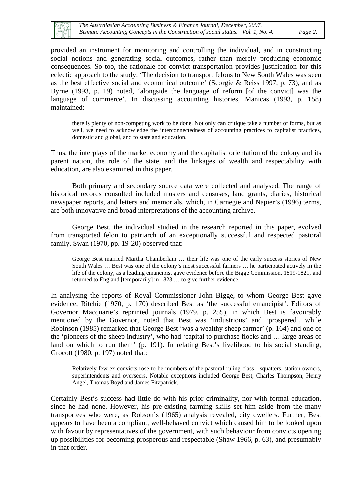

provided an instrument for monitoring and controlling the individual, and in constructing social notions and generating social outcomes, rather than merely producing economic consequences. So too, the rationale for convict transportation provides justification for this eclectic approach to the study. 'The decision to transport felons to New South Wales was seen as the best effective social and economical outcome' (Scorgie & Reiss 1997, p. 73), and as Byrne (1993, p. 19) noted, 'alongside the language of reform [of the convict] was the language of commerce'. In discussing accounting histories, Manicas (1993, p. 158) maintained:

there is plenty of non-competing work to be done. Not only can critique take a number of forms, but as well, we need to acknowledge the interconnectedness of accounting practices to capitalist practices, domestic and global, and to state and education.

Thus, the interplays of the market economy and the capitalist orientation of the colony and its parent nation, the role of the state, and the linkages of wealth and respectability with education, are also examined in this paper.

Both primary and secondary source data were collected and analysed. The range of historical records consulted included musters and censuses, land grants, diaries, historical newspaper reports, and letters and memorials, which, in Carnegie and Napier's (1996) terms, are both innovative and broad interpretations of the accounting archive.

George Best, the individual studied in the research reported in this paper, evolved from transported felon to patriarch of an exceptionally successful and respected pastoral family. Swan (1970, pp. 19-20) observed that:

George Best married Martha Chamberlain … their life was one of the early success stories of New South Wales … Best was one of the colony's most successful farmers … he participated actively in the life of the colony, as a leading emancipist gave evidence before the Bigge Commission, 1819-1821, and returned to England [temporarily] in 1823 … to give further evidence.

In analysing the reports of Royal Commissioner John Bigge, to whom George Best gave evidence, Ritchie (1970, p. 170) described Best as 'the successful emancipist'. Editors of Governor Macquarie's reprinted journals (1979, p. 255), in which Best is favourably mentioned by the Governor, noted that Best was 'industrious' and 'prospered', while Robinson (1985) remarked that George Best 'was a wealthy sheep farmer' (p. 164) and one of the 'pioneers of the sheep industry', who had 'capital to purchase flocks and … large areas of land on which to run them' (p. 191). In relating Best's livelihood to his social standing, Grocott (1980, p. 197) noted that:

Relatively few ex-convicts rose to be members of the pastoral ruling class - squatters, station owners, superintendents and overseers. Notable exceptions included George Best, Charles Thompson, Henry Angel, Thomas Boyd and James Fitzpatrick.

Certainly Best's success had little do with his prior criminality, nor with formal education, since he had none. However, his pre-existing farming skills set him aside from the many transportees who were, as Robson's (1965) analysis revealed, city dwellers. Further, Best appears to have been a compliant, well-behaved convict which caused him to be looked upon with favour by representatives of the government, with such behaviour from convicts opening up possibilities for becoming prosperous and respectable (Shaw 1966, p. 63), and presumably in that order.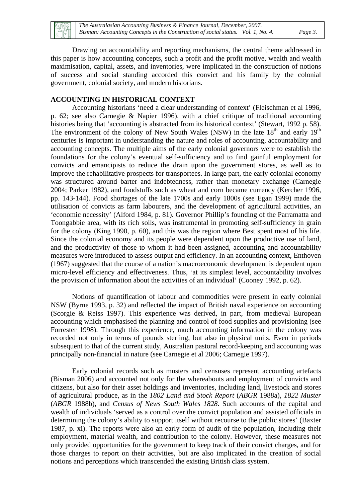

Drawing on accountability and reporting mechanisms, the central theme addressed in this paper is how accounting concepts, such a profit and the profit motive, wealth and wealth maximisation, capital, assets, and inventories, were implicated in the construction of notions of success and social standing accorded this convict and his family by the colonial government, colonial society, and modern historians.

#### **ACCOUNTING IN HISTORICAL CONTEXT**

Accounting historians 'need a clear understanding of context' (Fleischman et al 1996, p. 62; see also Carnegie & Napier 1996), with a chief critique of traditional accounting histories being that 'accounting is abstracted from its historical context' (Stewart, 1992 p. 58). The environment of the colony of New South Wales (NSW) in the late  $18<sup>th</sup>$  and early  $19<sup>th</sup>$ centuries is important in understanding the nature and roles of accounting, accountability and accounting concepts. The multiple aims of the early colonial governors were to establish the foundations for the colony's eventual self-sufficiency and to find gainful employment for convicts and emancipists to reduce the drain upon the government stores, as well as to improve the rehabilitative prospects for transportees. In large part, the early colonial economy was structured around barter and indebtedness, rather than monetary exchange (Carnegie 2004; Parker 1982), and foodstuffs such as wheat and corn became currency (Kercher 1996, pp. 143-144). Food shortages of the late 1700s and early 1800s (see Egan 1999) made the utilisation of convicts as farm labourers, and the development of agricultural activities, an 'economic necessity' (Alford 1984, p. 81). Governor Phillip's founding of the Parramatta and Toongabbie area, with its rich soils, was instrumental in promoting self-sufficiency in grain for the colony (King 1990, p. 60), and this was the region where Best spent most of his life. Since the colonial economy and its people were dependent upon the productive use of land, and the productivity of those to whom it had been assigned, accounting and accountability measures were introduced to assess output and efficiency. In an accounting context, Enthoven (1967) suggested that the course of a nation's macroeconomic development is dependent upon micro-level efficiency and effectiveness. Thus, 'at its simplest level, accountability involves the provision of information about the activities of an individual' (Cooney 1992, p. 62).

Notions of quantification of labour and commodities were present in early colonial NSW (Byrne 1993, p. 32) and reflected the impact of British naval experience on accounting (Scorgie & Reiss 1997). This experience was derived, in part, from medieval European accounting which emphasised the planning and control of food supplies and provisioning (see Forrester 1998). Through this experience, much accounting information in the colony was recorded not only in terms of pounds sterling, but also in physical units. Even in periods subsequent to that of the current study, Australian pastoral record-keeping and accounting was principally non-financial in nature (see Carnegie et al 2006; Carnegie 1997).

Early colonial records such as musters and censuses represent accounting artefacts (Bisman 2006) and accounted not only for the whereabouts and employment of convicts and citizens, but also for their asset holdings and inventories, including land, livestock and stores of agricultural produce, as in the *1802 Land and Stock Report* (*ABGR* 1988a), *1822 Muster* (*ABGR* 1988b), and *Census of News South Wales 1828*. Such accounts of the capital and wealth of individuals 'served as a control over the convict population and assisted officials in determining the colony's ability to support itself without recourse to the public stores' (Baxter 1987, p. xi). The reports were also an early form of audit of the population, including their employment, material wealth, and contribution to the colony. However, these measures not only provided opportunities for the government to keep track of their convict charges, and for those charges to report on their activities, but are also implicated in the creation of social notions and perceptions which transcended the existing British class system.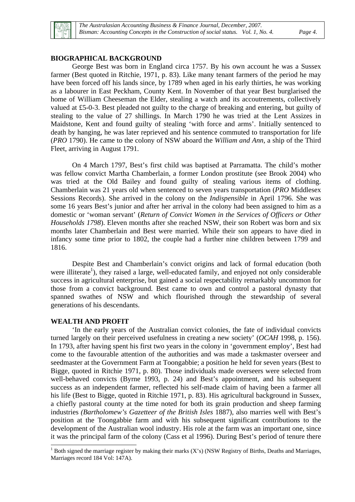

#### **BIOGRAPHICAL BACKGROUND**

George Best was born in England circa 1757. By his own account he was a Sussex farmer (Best quoted in Ritchie, 1971, p. 83). Like many tenant farmers of the period he may have been forced off his lands since, by 1789 when aged in his early thirties, he was working as a labourer in East Peckham, County Kent. In November of that year Best burglarised the home of William Cheeseman the Elder, stealing a watch and its accoutrements, collectively valued at £5-0-3. Best pleaded not guilty to the charge of breaking and entering, but guilty of stealing to the value of 27 shillings. In March 1790 he was tried at the Lent Assizes in Maidstone, Kent and found guilty of stealing 'with force and arms'. Initially sentenced to death by hanging, he was later reprieved and his sentence commuted to transportation for life (*PRO* 1790). He came to the colony of NSW aboard the *William and Ann,* a ship of the Third Fleet, arriving in August 1791.

On 4 March 1797, Best's first child was baptised at Parramatta. The child's mother was fellow convict Martha Chamberlain, a former London prostitute (see Brook 2004) who was tried at the Old Bailey and found guilty of stealing various items of clothing. Chamberlain was 21 years old when sentenced to seven years transportation (*PRO* Middlesex Sessions Records). She arrived in the colony on the *Indispensible* in April 1796. She was some 16 years Best's junior and after her arrival in the colony had been assigned to him as a domestic or 'woman servant' (*Return of Convict Women in the Services of Officers or Other Households 1798*). Eleven months after she reached NSW, their son Robert was born and six months later Chamberlain and Best were married. While their son appears to have died in infancy some time prior to 1802, the couple had a further nine children between 1799 and 1816.

Despite Best and Chamberlain's convict origins and lack of formal education (both were illiterate<sup>1</sup>), they raised a large, well-educated family, and enjoyed not only considerable success in agricultural enterprise, but gained a social respectability remarkably uncommon for those from a convict background. Best came to own and control a pastoral dynasty that spanned swathes of NSW and which flourished through the stewardship of several generations of his descendants.

#### **WEALTH AND PROFIT**

-

'In the early years of the Australian convict colonies, the fate of individual convicts turned largely on their perceived usefulness in creating a new society' (*OCAH* 1998, p. 156). In 1793, after having spent his first two years in the colony in 'government employ', Best had come to the favourable attention of the authorities and was made a taskmaster overseer and seedmaster at the Government Farm at Toongabbie; a position he held for seven years (Best to Bigge, quoted in Ritchie 1971, p. 80). Those individuals made overseers were selected from well-behaved convicts (Byrne 1993, p. 24) and Best's appointment, and his subsequent success as an independent farmer, reflected his self-made claim of having been a farmer all his life (Best to Bigge, quoted in Ritchie 1971, p. 83). His agricultural background in Sussex, a chiefly pastoral county at the time noted for both its grain production and sheep farming industries *(Bartholomew's Gazetteer of the British Isles* 1887), also marries well with Best's position at the Toongabbie farm and with his subsequent significant contributions to the development of the Australian wool industry. His role at the farm was an important one, since it was the principal farm of the colony (Cass et al 1996). During Best's period of tenure there

<sup>&</sup>lt;sup>1</sup> Both signed the marriage register by making their marks  $(X's)$  (NSW Registry of Births, Deaths and Marriages, Marriages record 184 Vol: 147A).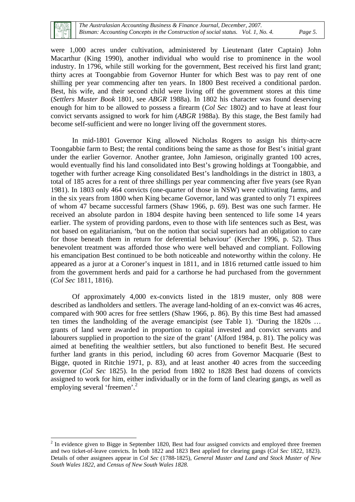

1

were 1,000 acres under cultivation, administered by Lieutenant (later Captain) John Macarthur (King 1990), another individual who would rise to prominence in the wool industry. In 1796, while still working for the government, Best received his first land grant; thirty acres at Toongabbie from Governor Hunter for which Best was to pay rent of one shilling per year commencing after ten years. In 1800 Best received a conditional pardon. Best, his wife, and their second child were living off the government stores at this time (*Settlers Muster Book* 1801, see *ABGR* 1988a). In 1802 his character was found deserving enough for him to be allowed to possess a firearm (*Col Sec* 1802) and to have at least four convict servants assigned to work for him (*ABGR* 1988a). By this stage, the Best family had become self-sufficient and were no longer living off the government stores.

In mid-1801 Governor King allowed Nicholas Rogers to assign his thirty-acre Toongabbie farm to Best; the rental conditions being the same as those for Best's initial grant under the earlier Governor. Another grantee, John Jamieson, originally granted 100 acres, would eventually find his land consolidated into Best's growing holdings at Toongabbie, and together with further acreage King consolidated Best's landholdings in the district in 1803, a total of 185 acres for a rent of three shillings per year commencing after five years (see Ryan 1981). In 1803 only 464 convicts (one-quarter of those in NSW) were cultivating farms, and in the six years from 1800 when King became Governor, land was granted to only 71 expirees of whom 47 became successful farmers (Shaw 1966, p. 69). Best was one such farmer. He received an absolute pardon in 1804 despite having been sentenced to life some 14 years earlier. The system of providing pardons, even to those with life sentences such as Best, was not based on egalitarianism, 'but on the notion that social superiors had an obligation to care for those beneath them in return for deferential behaviour' (Kercher 1996, p. 52). Thus benevolent treatment was afforded those who were well behaved and compliant. Following his emancipation Best continued to be both noticeable and noteworthy within the colony. He appeared as a juror at a Coroner's inquest in 1811, and in 1816 returned cattle issued to him from the government herds and paid for a carthorse he had purchased from the government (*Col Sec* 1811, 1816).

Of approximately 4,000 ex-convicts listed in the 1819 muster, only 808 were described as landholders and settlers. The average land-holding of an ex-convict was 46 acres, compared with 900 acres for free settlers (Shaw 1966, p. 86). By this time Best had amassed ten times the landholding of the average emancipist (see Table 1). 'During the 1820s … grants of land were awarded in proportion to capital invested and convict servants and labourers supplied in proportion to the size of the grant' (Alford 1984, p. 81). The policy was aimed at benefiting the wealthier settlers, but also functioned to benefit Best. He secured further land grants in this period, including 60 acres from Governor Macquarie (Best to Bigge, quoted in Ritchie 1971, p. 83), and at least another 40 acres from the succeeding governor (*Col Sec* 1825). In the period from 1802 to 1828 Best had dozens of convicts assigned to work for him, either individually or in the form of land clearing gangs, as well as employing several 'freemen'.<sup>2</sup>

 $2$  In evidence given to Bigge in September 1820, Best had four assigned convicts and employed three freemen and two ticket-of-leave convicts. In both 1822 and 1823 Best applied for clearing gangs (*Col Sec* 1822, 1823). Details of other assignees appear in *Col Sec* (1788-1825), *General Muster and Land and Stock Muster of New South Wales 1822*, and *Census of New South Wales 1828.*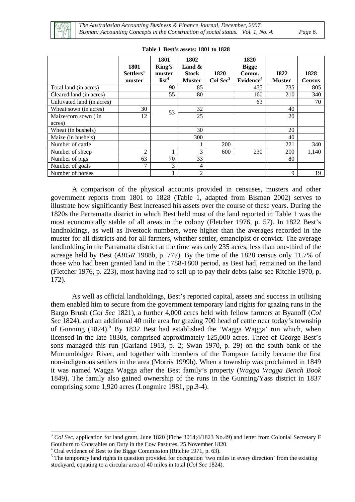

*The Australasian Accounting Business & Finance Journal, December, 2007. Bisman: Accounting Concepts in the Construction of social status. Vol. 1, No. 4. Page 6.* 

|                               | 1801<br>Settlers'<br>muster | 1801<br>King's<br>muster<br>list <sup>4</sup> | 1802<br>Land $\&$<br><b>Stock</b><br><b>Muster</b> | 1820<br>$Col$ Sec $3$ | 1820<br><b>Bigge</b><br>Comm.<br>Evidence <sup>4</sup> | 1822<br><b>Muster</b> | 1828<br><b>Census</b> |
|-------------------------------|-----------------------------|-----------------------------------------------|----------------------------------------------------|-----------------------|--------------------------------------------------------|-----------------------|-----------------------|
| Total land (in acres)         |                             | 90                                            | 85                                                 |                       | 455                                                    | 735                   | 805                   |
| Cleared land (in acres)       |                             | 55                                            | 80                                                 |                       | 160                                                    | 210                   | 340                   |
| Cultivated land (in acres)    |                             |                                               |                                                    |                       | 63                                                     |                       | 70                    |
| Wheat sown (in acres)         | 30                          | 53                                            | 32                                                 |                       |                                                        | 40                    |                       |
| Maize/corn sown (in<br>acres) | 12                          |                                               | 25                                                 |                       |                                                        | 20                    |                       |
| Wheat (in bushels)            |                             |                                               | 30                                                 |                       |                                                        | 20                    |                       |
| Maize (in bushels)            |                             |                                               | 300                                                |                       |                                                        | 40                    |                       |
| Number of cattle              |                             |                                               |                                                    | 200                   |                                                        | 221                   | 340                   |
| Number of sheep               | $\overline{2}$              |                                               | 3                                                  | 600                   | 230                                                    | 200                   | 1,140                 |
| Number of pigs                | 63                          | 70                                            | 33                                                 |                       |                                                        | 80                    |                       |
| Number of goats               | $\mathcal{I}$               | 3                                             | $\overline{4}$                                     |                       |                                                        |                       |                       |
| Number of horses              |                             |                                               | $\overline{2}$                                     |                       |                                                        | 9                     | 19                    |

#### **Table 1 Best's assets: 1801 to 1828**

A comparison of the physical accounts provided in censuses, musters and other government reports from 1801 to 1828 (Table 1, adapted from Bisman 2002) serves to illustrate how significantly Best increased his assets over the course of these years. During the 1820s the Parramatta district in which Best held most of the land reported in Table 1 was the most economically stable of all areas in the colony (Fletcher 1976, p. 57). In 1822 Best's landholdings, as well as livestock numbers, were higher than the averages recorded in the muster for all districts and for all farmers, whether settler, emancipist or convict. The average landholding in the Parramatta district at the time was only 235 acres; less than one-third of the acreage held by Best (*ABGR* 1988b, p. 777). By the time of the 1828 census only 11.7% of those who had been granted land in the 1788-1800 period, as Best had, remained on the land (Fletcher 1976, p. 223), most having had to sell up to pay their debts (also see Ritchie 1970, p. 172).

As well as official landholdings, Best's reported capital, assets and success in utilising them enabled him to secure from the government temporary land rights for grazing runs in the Bargo Brush (*Col Sec* 1821), a further 4,000 acres held with fellow farmers at Byanoff (*Col Sec* 1824), and an additional 40 mile area for grazing 700 head of cattle near today's township of Gunning (1824).<sup>5</sup> By 1832 Best had established the 'Wagga Wagga' run which, when licensed in the late 1830s, comprised approximately 125,000 acres. Three of George Best's sons managed this run (Garland 1913, p. 2; Swan 1970, p. 29) on the south bank of the Murrumbidgee River, and together with members of the Tompson family became the first non-indigenous settlers in the area (Morris 1999b). When a township was proclaimed in 1849 it was named Wagga Wagga after the Best family's property (*Wagga Wagga Bench Book* 1849). The family also gained ownership of the runs in the Gunning/Yass district in 1837 comprising some 1,920 acres (Longmire 1981, pp.3-4).

-

<sup>&</sup>lt;sup>3</sup> *Col Sec*, application for land grant, June 1820 (Fiche 3014;4/1823 No.49) and letter from Colonial Secretary F Goulburn to Constables on Duty in the Cow Pastures, 25 November 1820.

 $^{4}$  Oral evidence of Best to the Bigge Commission (Ritchie 1971, p. 63).

 $5$  The temporary land rights in question provided for occupation 'two miles in every direction' from the existing stockyard, equating to a circular area of 40 miles in total (*Col Sec* 1824).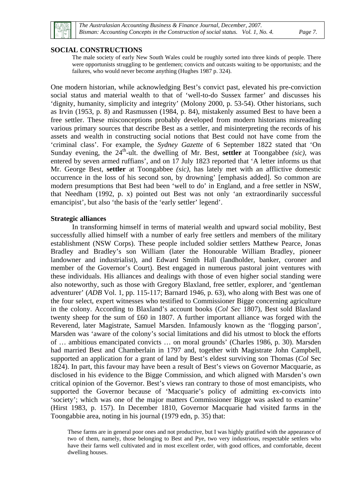

#### **SOCIAL CONSTRUCTIONS**

The male society of early New South Wales could be roughly sorted into three kinds of people. There were opportunists struggling to be gentlemen; convicts and outcasts waiting to be opportunists; and the failures, who would never become anything (Hughes 1987 p. 324).

One modern historian, while acknowledging Best's convict past, elevated his pre-conviction social status and material wealth to that of 'well-to-do Sussex farmer' and discusses his 'dignity, humanity, simplicity and integrity' (Molony 2000, p. 53-54). Other historians, such as Irvin (1953, p. 8) and Rasmussen (1984, p. 84), mistakenly assumed Best to have been a free settler. These misconceptions probably developed from modern historians misreading various primary sources that describe Best as a settler, and misinterpreting the records of his assets and wealth in constructing social notions that Best could not have come from the 'criminal class'. For example, the *Sydney Gazette* of 6 September 1822 stated that 'On Sunday evening, the  $24<sup>th</sup>$ -ult. the dwelling of Mr. Best, **settler** at Toongabbee *(sic)*, was entered by seven armed ruffians', and on 17 July 1823 reported that 'A letter informs us that Mr. George Best, **settler** at Toongabbee *(sic)*, has lately met with an afflictive domestic occurrence in the loss of his second son, by drowning' [emphasis added]. So common are modern presumptions that Best had been 'well to do' in England, and a free settler in NSW, that Needham (1992, p. x) pointed out Best was not only 'an extraordinarily successful emancipist', but also 'the basis of the 'early settler' legend'.

#### **Strategic alliances**

In transforming himself in terms of material wealth and upward social mobility, Best successfully allied himself with a number of early free settlers and members of the military establishment (NSW Corps). These people included soldier settlers Matthew Pearce, Jonas Bradley and Bradley's son William (later the Honourable William Bradley, pioneer landowner and industrialist), and Edward Smith Hall (landholder, banker, coroner and member of the Governor's Court). Best engaged in numerous pastoral joint ventures with these individuals. His alliances and dealings with those of even higher social standing were also noteworthy, such as those with Gregory Blaxland, free settler, explorer, and 'gentleman adventurer' (*ADB* Vol. 1, pp. 115-117; Barnard 1946, p. 63), who along with Best was one of the four select, expert witnesses who testified to Commissioner Bigge concerning agriculture in the colony. According to Blaxland's account books (*Col Sec* 1807), Best sold Blaxland twenty sheep for the sum of £60 in 1807. A further important alliance was forged with the Reverend, later Magistrate, Samuel Marsden. Infamously known as the 'flogging parson', Marsden was 'aware of the colony's social limitations and did his utmost to block the efforts of … ambitious emancipated convicts … on moral grounds' (Charles 1986, p. 30). Marsden had married Best and Chamberlain in 1797 and, together with Magistrate John Campbell, supported an application for a grant of land by Best's eldest surviving son Thomas (*Col* Sec 1824). In part, this favour may have been a result of Best's views on Governor Macquarie, as disclosed in his evidence to the Bigge Commission, and which aligned with Marsden's own critical opinion of the Governor. Best's views ran contrary to those of most emancipists, who supported the Governor because of 'Macquarie's policy of admitting ex-convicts into 'society'; which was one of the major matters Commissioner Bigge was asked to examine' (Hirst 1983, p. 157). In December 1810, Governor Macquarie had visited farms in the Toongabbie area, noting in his journal (1979 edn, p. 35) that:

These farms are in general poor ones and not productive, but I was highly gratified with the appearance of two of them, namely, those belonging to Best and Pye, two very industrious, respectable settlers who have their farms well cultivated and in most excellent order, with good offices, and comfortable, decent dwelling houses.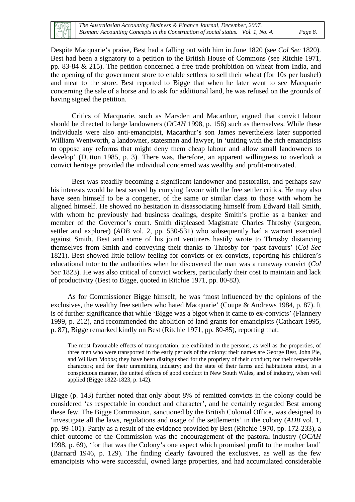

Despite Macquarie's praise, Best had a falling out with him in June 1820 (see *Col Sec* 1820). Best had been a signatory to a petition to the British House of Commons (see Ritchie 1971, pp. 83-84 & 215). The petition concerned a free trade prohibition on wheat from India, and the opening of the government store to enable settlers to sell their wheat (for 10s per bushel) and meat to the store. Best reported to Bigge that when he later went to see Macquarie concerning the sale of a horse and to ask for additional land, he was refused on the grounds of having signed the petition.

Critics of Macquarie, such as Marsden and Macarthur, argued that convict labour should be directed to large landowners (*OCAH* 1998, p. 156) such as themselves. While these individuals were also anti-emancipist, Macarthur's son James nevertheless later supported William Wentworth, a landowner, statesman and lawyer, in 'uniting with the rich emancipists to oppose any reforms that might deny them cheap labour and allow small landowners to develop' (Dutton 1985, p. 3). There was, therefore, an apparent willingness to overlook a convict heritage provided the individual concerned was wealthy and profit-motivated.

Best was steadily becoming a significant landowner and pastoralist, and perhaps saw his interests would be best served by currying favour with the free settler critics. He may also have seen himself to be a congener, of the same or similar class to those with whom he aligned himself. He showed no hesitation in disassociating himself from Edward Hall Smith, with whom he previously had business dealings, despite Smith's profile as a banker and member of the Governor's court. Smith displeased Magistrate Charles Throsby (surgeon, settler and explorer) (*ADB* vol. 2, pp. 530-531) who subsequently had a warrant executed against Smith. Best and some of his joint venturers hastily wrote to Throsby distancing themselves from Smith and conveying their thanks to Throsby for 'past favours' (*Col Sec* 1821). Best showed little fellow feeling for convicts or ex-convicts, reporting his children's educational tutor to the authorities when he discovered the man was a runaway convict (*Col Sec* 1823). He was also critical of convict workers, particularly their cost to maintain and lack of productivity (Best to Bigge, quoted in Ritchie 1971, pp. 80-83).

As for Commissioner Bigge himself, he was 'most influenced by the opinions of the exclusives, the wealthy free settlers who hated Macquarie' (Coupe & Andrews 1984, p. 87). It is of further significance that while 'Bigge was a bigot when it came to ex-convicts' (Flannery 1999, p. 212), and recommended the abolition of land grants for emancipists (Cathcart 1995, p. 87), Bigge remarked kindly on Best (Ritchie 1971, pp. 80-85), reporting that:

The most favourable effects of transportation, are exhibited in the persons, as well as the properties, of three men who were transported in the early periods of the colony; their names are George Best, John Pie, and William Mobbs; they have been distinguished for the propriety of their conduct; for their respectable characters; and for their unremitting industry; and the state of their farms and habitations attest, in a conspicuous manner, the united effects of good conduct in New South Wales, and of industry, when well applied (Bigge 1822-1823*,* p. 142).

Bigge (p. 143) further noted that only about 8% of remitted convicts in the colony could be considered 'as respectable in conduct and character', and he certainly regarded Best among these few. The Bigge Commission, sanctioned by the British Colonial Office, was designed to 'investigate all the laws, regulations and usage of the settlements' in the colony (*ADB* vol. 1, pp. 99-101). Partly as a result of the evidence provided by Best (Ritchie 1970, pp. 172-233), a chief outcome of the Commission was the encouragement of the pastoral industry (*OCAH* 1998, p. 69), 'for that was the Colony's one aspect which promised profit to the mother land' (Barnard 1946, p. 129). The finding clearly favoured the exclusives, as well as the few emancipists who were successful, owned large properties, and had accumulated considerable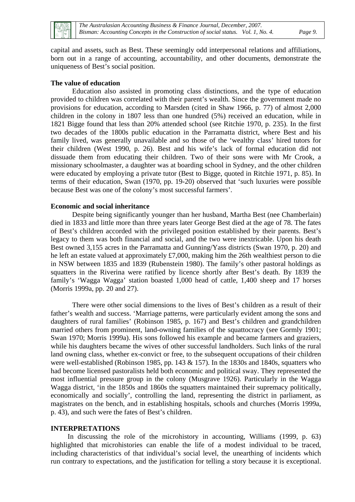

capital and assets, such as Best. These seemingly odd interpersonal relations and affiliations, born out in a range of accounting, accountability, and other documents, demonstrate the uniqueness of Best's social position.

#### **The value of education**

Education also assisted in promoting class distinctions, and the type of education provided to children was correlated with their parent's wealth. Since the government made no provisions for education, according to Marsden (cited in Shaw 1966, p. 77) of almost 2,000 children in the colony in 1807 less than one hundred (5%) received an education, while in 1821 Bigge found that less than 20% attended school (see Ritchie 1970, p. 235). In the first two decades of the 1800s public education in the Parramatta district, where Best and his family lived, was generally unavailable and so those of the 'wealthy class' hired tutors for their children (West 1990, p. 26). Best and his wife's lack of formal education did not dissuade them from educating their children. Two of their sons were with Mr Crook, a missionary schoolmaster, a daughter was at boarding school in Sydney, and the other children were educated by employing a private tutor (Best to Bigge, quoted in Ritchie 1971, p. 85). In terms of their education, Swan (1970, pp. 19-20) observed that 'such luxuries were possible because Best was one of the colony's most successful farmers'.

#### **Economic and social inheritance**

Despite being significantly younger than her husband, Martha Best (nee Chamberlain) died in 1833 and little more than three years later George Best died at the age of 78. The fates of Best's children accorded with the privileged position established by their parents. Best's legacy to them was both financial and social, and the two were inextricable. Upon his death Best owned 3,155 acres in the Parramatta and Gunning/Yass districts (Swan 1970, p. 20) and he left an estate valued at approximately £7,000, making him the 26th wealthiest person to die in NSW between 1835 and 1839 (Rubenstein 1980). The family's other pastoral holdings as squatters in the Riverina were ratified by licence shortly after Best's death. By 1839 the family's 'Wagga Wagga' station boasted 1,000 head of cattle, 1,400 sheep and 17 horses (Morris 1999a, pp. 20 and 27).

There were other social dimensions to the lives of Best's children as a result of their father's wealth and success. 'Marriage patterns, were particularly evident among the sons and daughters of rural families' (Robinson 1985, p. 167) and Best's children and grandchildren married others from prominent, land-owning families of the squattocracy (see Gormly 1901; Swan 1970; Morris 1999a). His sons followed his example and became farmers and graziers, while his daughters became the wives of other successful landholders. Such links of the rural land owning class, whether ex-convict or free, to the subsequent occupations of their children were well-established (Robinson 1985, pp. 143  $& 157$ ). In the 1830s and 1840s, squatters who had become licensed pastoralists held both economic and political sway. They represented the most influential pressure group in the colony (Musgrave 1926). Particularly in the Wagga Wagga district, 'in the 1850s and 1860s the squatters maintained their supremacy politically, economically and socially', controlling the land, representing the district in parliament, as magistrates on the bench, and in establishing hospitals, schools and churches (Morris 1999a, p. 43), and such were the fates of Best's children.

#### **INTERPRETATIONS**

In discussing the role of the microhistory in accounting, Williams (1999, p. 63) highlighted that microhistories can enable the life of a modest individual to be traced, including characteristics of that individual's social level, the unearthing of incidents which run contrary to expectations, and the justification for telling a story because it is exceptional.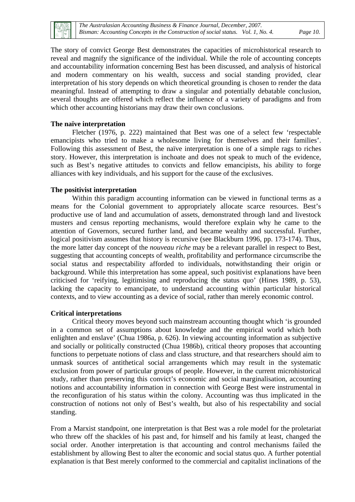

The story of convict George Best demonstrates the capacities of microhistorical research to reveal and magnify the significance of the individual. While the role of accounting concepts and accountability information concerning Best has been discussed, and analysis of historical and modern commentary on his wealth, success and social standing provided, clear interpretation of his story depends on which theoretical grounding is chosen to render the data meaningful. Instead of attempting to draw a singular and potentially debatable conclusion, several thoughts are offered which reflect the influence of a variety of paradigms and from which other accounting historians may draw their own conclusions.

#### **The naïve interpretation**

Fletcher (1976, p. 222) maintained that Best was one of a select few 'respectable emancipists who tried to make a wholesome living for themselves and their families'. Following this assessment of Best, the naïve interpretation is one of a simple rags to riches story. However, this interpretation is inchoate and does not speak to much of the evidence, such as Best's negative attitudes to convicts and fellow emancipists, his ability to forge alliances with key individuals, and his support for the cause of the exclusives.

#### **The positivist interpretation**

Within this paradigm accounting information can be viewed in functional terms as a means for the Colonial government to appropriately allocate scarce resources. Best's productive use of land and accumulation of assets, demonstrated through land and livestock musters and census reporting mechanisms, would therefore explain why he came to the attention of Governors, secured further land, and became wealthy and successful. Further, logical positivism assumes that history is recursive (see Blackburn 1996, pp. 173-174). Thus, the more latter day concept of the *nouveau riche* may be a relevant parallel in respect to Best, suggesting that accounting concepts of wealth, profitability and performance circumscribe the social status and respectability afforded to individuals, notwithstanding their origin or background. While this interpretation has some appeal, such positivist explanations have been criticised for 'reifying, legitimising and reproducing the status quo' (Hines 1989, p. 53), lacking the capacity to emancipate, to understand accounting within particular historical contexts, and to view accounting as a device of social, rather than merely economic control.

#### **Critical interpretations**

Critical theory moves beyond such mainstream accounting thought which 'is grounded in a common set of assumptions about knowledge and the empirical world which both enlighten and enslave' (Chua 1986a, p. 626). In viewing accounting information as subjective and socially or politically constructed (Chua 1986b), critical theory proposes that accounting functions to perpetuate notions of class and class structure, and that researchers should aim to unmask sources of antithetical social arrangements which may result in the systematic exclusion from power of particular groups of people. However, in the current microhistorical study, rather than preserving this convict's economic and social marginalisation, accounting notions and accountability information in connection with George Best were instrumental in the reconfiguration of his status within the colony. Accounting was thus implicated in the construction of notions not only of Best's wealth, but also of his respectability and social standing.

From a Marxist standpoint, one interpretation is that Best was a role model for the proletariat who threw off the shackles of his past and, for himself and his family at least, changed the social order. Another interpretation is that accounting and control mechanisms failed the establishment by allowing Best to alter the economic and social status quo. A further potential explanation is that Best merely conformed to the commercial and capitalist inclinations of the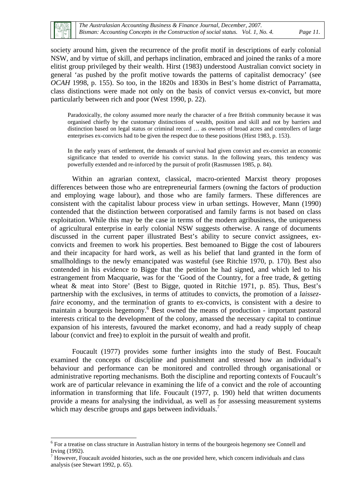

1

society around him, given the recurrence of the profit motif in descriptions of early colonial NSW, and by virtue of skill, and perhaps inclination, embraced and joined the ranks of a more elitist group privileged by their wealth. Hirst (1983) understood Australian convict society in general 'as pushed by the profit motive towards the patterns of capitalist democracy' (see *OCAH* 1998, p. 155). So too, in the 1820s and 1830s in Best's home district of Parramatta, class distinctions were made not only on the basis of convict versus ex-convict, but more particularly between rich and poor (West 1990, p. 22).

Paradoxically, the colony assumed more nearly the character of a free British community because it was organised chiefly by the customary distinctions of wealth, position and skill and not by barriers and distinction based on legal status or criminal record … as owners of broad acres and controllers of large enterprises ex-convicts had to be given the respect due to these positions (Hirst 1983, p. 153).

In the early years of settlement, the demands of survival had given convict and ex-convict an economic significance that tended to override his convict status. In the following years, this tendency was powerfully extended and re-inforced by the pursuit of profit (Rasmussen 1985, p. 84).

Within an agrarian context, classical, macro-oriented Marxist theory proposes differences between those who are entrepreneurial farmers (owning the factors of production and employing wage labour), and those who are family farmers. These differences are consistent with the capitalist labour process view in urban settings. However, Mann (1990) contended that the distinction between corporatised and family farms is not based on class exploitation. While this may be the case in terms of the modern agribusiness, the uniqueness of agricultural enterprise in early colonial NSW suggests otherwise. A range of documents discussed in the current paper illustrated Best's ability to secure convict assignees, exconvicts and freemen to work his properties. Best bemoaned to Bigge the cost of labourers and their incapacity for hard work, as well as his belief that land granted in the form of smallholdings to the newly emancipated was wasteful (see Ritchie 1970, p. 170). Best also contended in his evidence to Bigge that the petition he had signed, and which led to his estrangement from Macquarie, was for the 'Good of the Country, for a free trade, & getting wheat & meat into Store' (Best to Bigge, quoted in Ritchie 1971, p. 85). Thus, Best's partnership with the exclusives, in terms of attitudes to convicts, the promotion of a *laissezfaire* economy, and the termination of grants to ex-convicts, is consistent with a desire to maintain a bourgeois hegemony.<sup>6</sup> Best owned the means of production - important pastoral interests critical to the development of the colony, amassed the necessary capital to continue expansion of his interests, favoured the market economy, and had a ready supply of cheap labour (convict and free) to exploit in the pursuit of wealth and profit.

Foucault (1977) provides some further insights into the study of Best. Foucault examined the concepts of discipline and punishment and stressed how an individual's behaviour and performance can be monitored and controlled through organisational or administrative reporting mechanisms. Both the discipline and reporting contexts of Foucault's work are of particular relevance in examining the life of a convict and the role of accounting information in transforming that life. Foucault (1977, p. 190) held that written documents provide a means for analysing the individual, as well as for assessing measurement systems which may describe groups and gaps between individuals.<sup>7</sup>

<sup>&</sup>lt;sup>6</sup> For a treatise on class structure in Australian history in terms of the bourgeois hegemony see Connell and Irving (1992).

 $<sup>7</sup>$  However, Foucault avoided histories, such as the one provided here, which concern individuals and class</sup> analysis (see Stewart 1992, p. 65).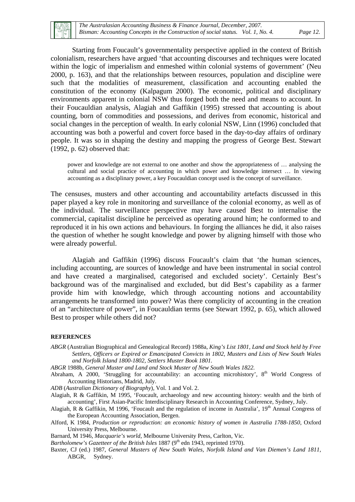Starting from Foucault's governmentality perspective applied in the context of British colonialism, researchers have argued 'that accounting discourses and techniques were located within the logic of imperialism and enmeshed within colonial systems of government' (Neu 2000, p. 163), and that the relationships between resources, population and discipline were such that the modalities of measurement, classification and accounting enabled the constitution of the economy (Kalpagum 2000). The economic, political and disciplinary environments apparent in colonial NSW thus forged both the need and means to account. In their Foucauldian analysis, Alagiah and Gaffikin (1995) stressed that accounting is about counting, born of commodities and possessions, and derives from economic, historical and social changes in the perception of wealth. In early colonial NSW, Linn (1996) concluded that accounting was both a powerful and covert force based in the day-to-day affairs of ordinary people. It was so in shaping the destiny and mapping the progress of George Best. Stewart (1992, p. 62) observed that:

power and knowledge are not external to one another and show the appropriateness of … analysing the cultural and social practice of accounting in which power and knowledge intersect … In viewing accounting as a disciplinary power, a key Foucauldian concept used is the concept of surveillance.

The censuses, musters and other accounting and accountability artefacts discussed in this paper played a key role in monitoring and surveillance of the colonial economy, as well as of the individual. The surveillance perspective may have caused Best to internalise the commercial, capitalist discipline he perceived as operating around him; he conformed to and reproduced it in his own actions and behaviours. In forging the alliances he did, it also raises the question of whether he sought knowledge and power by aligning himself with those who were already powerful.

Alagiah and Gaffikin (1996) discuss Foucault's claim that 'the human sciences, including accounting, are sources of knowledge and have been instrumental in social control and have created a marginalised, categorised and excluded society'. Certainly Best's background was of the marginalised and excluded, but did Best's capability as a farmer provide him with knowledge, which through accounting notions and accountability arrangements he transformed into power? Was there complicity of accounting in the creation of an "architecture of power", in Foucauldian terms (see Stewart 1992, p. 65), which allowed Best to prosper while others did not?

#### **REFERENCES**

- *ABGR* (Australian Biographical and Genealogical Record) 1988a, *King's List 1801, Land and Stock held by Free Settlers, Officers or Expired or Emancipated Convicts in 1802, Musters and Lists of New South Wales and Norfolk Island 1800-1802, Settlers Muster Book 1801.*
- *ABGR* 1988b, *General Muster and Land and Stock Muster of New South Wales 1822.*
- Abraham, A 2000, 'Struggling for accountability: an accounting microhistory', 8<sup>th</sup> World Congress of Accounting Historians, Madrid, July.
- *ADB* (*Australian Dictionary of Biography*)*,* Vol. 1 and Vol. 2.
- Alagiah, R & Gaffikin, M 1995, 'Foucault, archaeology and new accounting history: wealth and the birth of accounting', First Asian-Pacific Interdisciplinary Research in Accounting Conference, Sydney, July.
- Alagiah, R & Gaffikin, M 1996, 'Foucault and the regulation of income in Australia',  $19<sup>th</sup>$  Annual Congress of the European Accounting Association, Bergen.
- Alford, K 1984, *Production or reproduction: an economic history of women in Australia 1788-1850*, Oxford University Press, Melbourne.
- Barnard, M 1946, *Macquarie's world*, Melbourne University Press, Carlton, Vic.
- *Bartholomew's Gazetteer of the British Isles* 1887 (9<sup>th</sup> edn 1943, reprinted 1970).
- Baxter, CJ (ed.) 1987, *General Musters of New South Wales, Norfolk Island and Van Diemen's Land 1811,* ABGR, Sydney.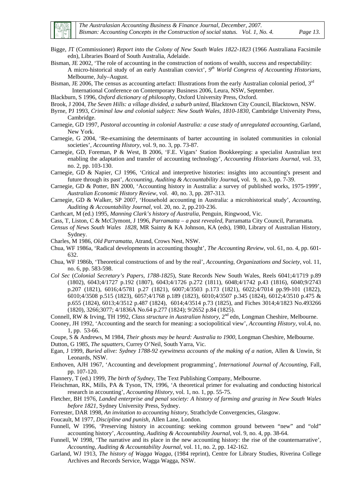

- Bigge, JT (Commissioner) *Report into the Colony of New South Wales 1822-1823* (1966 Australiana Facsimile edn), Libraries Board of South Australia, Adelaide.
- Bisman, JE 2002, 'The role of accounting in the construction of notions of wealth, success and respectability: A micro-historical study of an early Australian convict', *9th World Congress of Accounting Historians,* Melbourne, July–August.
- Bisman, JE 2006, The census as accounting artefact: Illustrations from the early Australian colonial period,  $3^{rd}$ International Conference on Contemporary Business 2006, Leura, NSW, September.
- Blackburn, S 1996, *Oxford dictionary of philosophy*, Oxford University Press, Oxford.
- Brook, J 2004, *The Seven Hills: a village divided, a suburb united,* Blacktown City Council, Blacktown, NSW.
- Byrne, PJ 1993, *Criminal law and colonial subject: New South Wales, 1810-1830*, Cambridge University Press, Cambridge.
- Carnegie, GD 1997, *Pastoral accounting in colonial Australia: a case study of unregulated accounting*, Garland, New York.
- Carnegie, G 2004, 'Re-examining the determinants of barter accounting in isolated communities in colonial societies', *Accounting History,* vol. 9, no. 3, pp. 73-87.
- Carnegie, GD, Foreman, P & West, B 2006, 'F.E. Vigars' Station Bookkeeping: a specialist Australian text enabling the adaptation and transfer of accounting technology', *Accounting Historians Journal,* vol. 33, no. 2, pp. 103-130.
- Carnegie, GD & Napier, CJ 1996, 'Critical and interpretive histories: insights into accounting's present and future through its past', *Accounting, Auditing & Accountability Journal,* vol. 9, no.3, pp. 7-39.
- Carnegie, GD & Potter, BN 2000, 'Accounting history in Australia: a survey of published works, 1975-1999', *Australian Economic History Review,* vol. 40, no. 3, pp. 287-313.
- Carnegie, GD & Walker, SP 2007, 'Household accounting in Australia: a microhistorical study', *Accounting, Auditing & Accountability Journal,* vol. 20, no. 2, pp.210-236.
- Carthcart, M (ed.) 1995, *Manning Clark's history of Australia*, Penguin, Ringwood, Vic.
- Cass, T, Liston, C & McClymont, J 1996, *Parramatta a past revealed*, Parramatta City Council, Parramatta.
- *Census of News South Wales 1828,* MR Sainty & KA Johnson, KA (eds), 1980, Library of Australian History, Sydney.
- Charles, M 1986, *Old Parramatta*, Atrand, Crows Nest, NSW.
- Chua, WF 1986a, 'Radical developments in accounting thought', *The Accounting Review,* vol. 61, no. 4, pp. 601- 632.
- Chua, WF 1986b, 'Theoretical constructions of and by the real', *Accounting, Organizations and Society,* vol. 11, no. 6, pp. 583-598.
- *Col Sec* (*Colonial Secretary's Papers, 1788-1825*), State Records New South Wales, Reels 6041;4/1719 p.89 (1802), 6043;4/1727 p.192 (1807), 6043;4/1726 p.272 (1811), 6048;4/1742 p.43 (1816), 6040;9/2743 p.207 (1821), 6016;4/5781 p.27 (1821), 6007;4/3503 p.173 (1821), 6022;4/7014 pp.99-101 (1822), 6010;4/3508 p.515 (1823), 6057;4/1768 p.189 (1823), 6010;4/3507 p.345 (1824), 6012;4/3510 p.475 & p.655 (1824), 6013;4/3512 p.487 (1824), 6014;4/3514 p.73 (1825), and Fiches 3014;4/1823 No.493266 (1820), 3266;3077; 4/1836A No.64 p.277 (1824); 9/2652 p.84 (1825).
- Connell, RW & Irving, TH 1992, *Class structure in Australian history*, 2<sup>nd</sup> edn, Longman Cheshire, Melbourne.
- Cooney, JH 1992, 'Accounting and the search for meaning: a sociopolitical view', *Accounting History,* vol.4, no. 1, pp. 53-66.
- Coupe, S & Andrews, M 1984, *Their ghosts may be heard: Australia to 1900*, Longman Cheshire, Melbourne.
- Dutton, G 1985, *The squatters*, Currey O'Neil, South Yarra, Vic.
- Egan, J 1999, *Buried alive: Sydney 1788-92 eyewitness accounts of the making of a nation*, Allen & Unwin, St Leonards, NSW.
- Enthoven, AJH 1967, 'Accounting and development programming', *International Journal of Accounting,* Fall, pp. 107-120.
- Flannery, T (ed.) 1999, *The birth of Sydney*, The Text Publishing Company, Melbourne.
- Fleischman, RK, Mills, PA & Tyson, TN, 1996, 'A theoretical primer for evaluating and conducting historical research in accounting', *Accounting History,* vol. 1, no. 1, pp. 55-75.
- Fletcher, BH 1976, *Landed enterprise and penal society: A history of farming and grazing in New South Wales before 1821*, Sydney University Press, Sydney.
- Forrester, DAR 1998, *An invitation to accounting history,* Strathclyde Convergencies, Glasgow.
- Foucault, M 1977, *Discipline and punish*, Allen Lane, London.
- Funnell, W 1996, 'Preserving history in accounting: seeking common ground between "new" and "old" accounting history', *Accounting, Auditing & Accountability Journal,* vol. 9, no. 4, pp. 38-64.
- Funnell, W 1998, 'The narrative and its place in the new accounting history: the rise of the counternarrative', *Accounting, Auditing & Accountability Journal*, vol. 11, no. 2, pp. 142-162.
- Garland, WJ 1913, *The history of Wagga Wagga*, (1984 reprint), Centre for Library Studies, Riverina College Archives and Records Service, Wagga Wagga, NSW.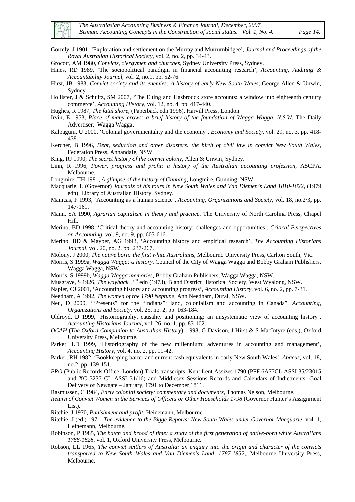

Gormly, J 1901, 'Exploration and settlement on the Murray and Murrumbidgee', *Journal and Proceedings of the Royal Australian Historical Society,* vol. 2, no. 2, pp. 34-43.

Grocott, AM 1980, *Convicts, clergymen and churches*, Sydney University Press, Sydney.

- Hines, RD 1989, 'The sociopolitical paradigm in financial accounting research', *Accounting, Auditing & Accountability Journal*, vol. 2, no.1, pp. 52-76.
- Hirst, JB 1983, *Convict society and its enemies: A history of early New South Wales*, George Allen & Unwin, Sydney.
- Hollister, J & Schultz, SM 2007, 'The Elting and Hasbrouck store accounts: a window into eighteenth century commerce', *Accounting History,* vol. 12, no. 4, pp. 417-440.
- Hughes, R 1987, *The fatal shore*, (Paperback edn 1996), Harvill Press, London.
- Irvin, E 1953, *Place of many crows: a brief history of the foundation of Wagga Wagga, N.S.W.* The Daily Advertiser, Wagga Wagga.
- Kalpagum, U 2000, 'Colonial governmentality and the economy', *Economy and Society,* vol. 29, no. 3, pp. 418- 438.
- Kercher, B 1996, *Debt, seduction and other disasters: the birth of civil law in convict New South Wales*, Federation Press, Annandale, NSW.
- King, RJ 1990, *The secret history of the convict colony*, Allen & Unwin, Sydney.
- Linn, R 1996, *Power, progress and profit: a history of the Australian accounting profession*, ASCPA, Melbourne.
- Longmire, TH 1981, *A glimpse of the history of Gunning,* Longmire, Gunning, NSW.
- Macquarie, L (Governor) *Journals of his tours in New South Wales and Van Diemen's Land 1810-1822*, (1979 edn), Library of Australian History, Sydney.
- Manicas, P 1993, 'Accounting as a human science', *Accounting, Organizations and Society,* vol. 18, no.2/3, pp. 147-161.
- Mann, SA 1990, *Agrarian capitalism in theory and practice*, The University of North Carolina Press, Chapel Hill.
- Merino, BD 1998, 'Critical theory and accounting history: challenges and opportunities', *Critical Perspectives on Accounting,* vol. 9, no. 9, pp. 603-616.
- Merino, BD & Mayper, AG 1993, 'Accounting history and empirical research', *The Accounting Historians Journal,* vol. 20, no. 2, pp. 237-267.
- Molony, J 2000, *The native born: the first white Australians*, Melbourne University Press, Carlton South, Vic.
- Morris, S 1999a, *Wagga Wagga: a history*, Council of the City of Wagga Wagga and Bobby Graham Publishers, Wagga Wagga, NSW.
- Morris, S 1999b, *Wagga Wagga memories*, Bobby Graham Publishers, Wagga Wagga, NSW.
- Musgrave, S 1926, *The wayback,* 3rd edn (1973), Bland District Historical Society, West Wyalong, NSW.
- Napier, CJ 2001, 'Accounting history and accounting progress', *Accounting History,* vol. 6, no. 2, pp. 7-31.
- Needham, A 1992, *The women of the 1790 Neptune*, Ann Needham, Dural, NSW.
- Neu, D 2000, '"Presents" for the "Indians": land, colonialism and accounting in Canada", *Accounting, Organizations and Society,* vol. 25, no. 2, pp. 163-184.
- Oldroyd, D 1999, 'Historiography, causality and positioning: an unsystematic view of accounting history', *Accounting Historians Journal,* vol. 26, no. 1, pp. 83-102.
- *OCAH* (*The Oxford Companion to Australian History*)*,* 1998, G Davison, J Hirst & S MacIntyre (eds.), Oxford University Press, Melbourne.
- Parker, LD 1999, 'Historiography of the new millennium: adventures in accounting and management', *Accounting History,* vol. 4, no. 2, pp. 11-42.
- Parker, RH 1982, 'Bookkeeping barter and current cash equivalents in early New South Wales', *Abacus*, vol. 18, no.2, pp. 139-151.
- *PRO* (Public Records Office, London) Trials transcripts: Kent Lent Assizes 1790 (PFF 6A77CL ASSI 35/23015 and XC 3237 CL ASSI 31/16) and Middlesex Sessions Records and Calendars of Indictments, Goal Delivery of Newgate – January, 1791 to December 1811.
- Rasmussen, C 1984, *Early colonial society: commentary and documents*, Thomas Nelson, Melbourne.
- *Return of Convict Women in the Services of Officers or Other Households 1798* (Governor Hunter's Assignment List).
- Ritchie, J 1970, *Punishment and profit*, Heinemann, Melbourne.
- Ritchie, J (ed.) 1971, *The evidence to the Bigge Reports: New South Wales under Governor Macquarie*, vol. 1, Heinemann, Melbourne.
- Robinson, P 1985, *The hatch and brood of time: a study of the first generation of native-born white Australians 1788-1828*, vol. 1, Oxford University Press, Melbourne.
- Robson, LL 1965, *The convict settlers of Australia: an enquiry into the origin and character of the convicts transported to New South Wales and Van Diemen's Land, 1787-1852*,. Melbourne University Press, Melbourne.